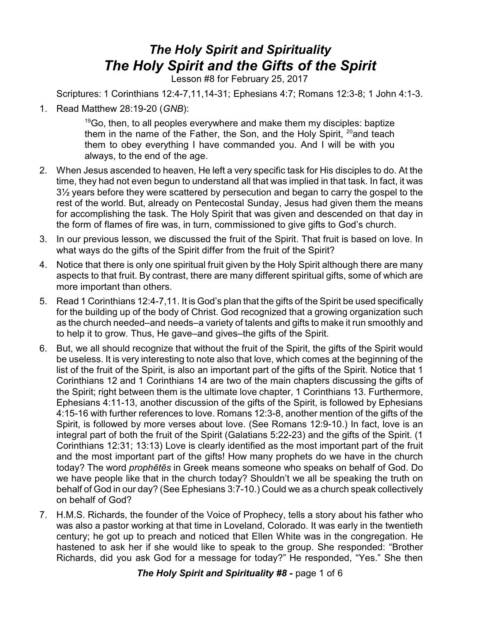## *The Holy Spirit and Spirituality The Holy Spirit and the Gifts of the Spirit*

Lesson #8 for February 25, 2017

Scriptures: 1 Corinthians 12:4-7,11,14-31; Ephesians 4:7; Romans 12:3-8; 1 John 4:1-3.

1. Read Matthew 28:19-20 (*GNB*):

 $19$ Go, then, to all peoples everywhere and make them my disciples: baptize them in the name of the Father, the Son, and the Holy Spirit, <sup>20</sup>and teach them to obey everything I have commanded you. And I will be with you always, to the end of the age.

- 2. When Jesus ascended to heaven, He left a very specific task for His disciples to do. At the time, they had not even begun to understand all that was implied in that task. In fact, it was 3½ years before they were scattered by persecution and began to carry the gospel to the rest of the world. But, already on Pentecostal Sunday, Jesus had given them the means for accomplishing the task. The Holy Spirit that was given and descended on that day in the form of flames of fire was, in turn, commissioned to give gifts to God's church.
- 3. In our previous lesson, we discussed the fruit of the Spirit. That fruit is based on love. In what ways do the gifts of the Spirit differ from the fruit of the Spirit?
- 4. Notice that there is only one spiritual fruit given by the Holy Spirit although there are many aspects to that fruit. By contrast, there are many different spiritual gifts, some of which are more important than others.
- 5. Read 1 Corinthians 12:4-7,11. It is God's plan that the gifts of the Spirit be used specifically for the building up of the body of Christ. God recognized that a growing organization such as the church needed–and needs–a variety of talents and gifts to make it run smoothly and to help it to grow. Thus, He gave–and gives–the gifts of the Spirit.
- 6. But, we all should recognize that without the fruit of the Spirit, the gifts of the Spirit would be useless. It is very interesting to note also that love, which comes at the beginning of the list of the fruit of the Spirit, is also an important part of the gifts of the Spirit. Notice that 1 Corinthians 12 and 1 Corinthians 14 are two of the main chapters discussing the gifts of the Spirit; right between them is the ultimate love chapter, 1 Corinthians 13. Furthermore, Ephesians 4:11-13, another discussion of the gifts of the Spirit, is followed by Ephesians 4:15-16 with further references to love. Romans 12:3-8, another mention of the gifts of the Spirit, is followed by more verses about love. (See Romans 12:9-10.) In fact, love is an integral part of both the fruit of the Spirit (Galatians 5:22-23) and the gifts of the Spirit. (1 Corinthians 12:31; 13:13) Love is clearly identified as the most important part of the fruit and the most important part of the gifts! How many prophets do we have in the church today? The word *prophçtçs* in Greek means someone who speaks on behalf of God. Do we have people like that in the church today? Shouldn't we all be speaking the truth on behalf of God in our day? (See Ephesians 3:7-10.) Could we as a church speak collectively on behalf of God?
- 7. H.M.S. Richards, the founder of the Voice of Prophecy, tells a story about his father who was also a pastor working at that time in Loveland, Colorado. It was early in the twentieth century; he got up to preach and noticed that Ellen White was in the congregation. He hastened to ask her if she would like to speak to the group. She responded: "Brother Richards, did you ask God for a message for today?" He responded, "Yes." She then

*The Holy Spirit and Spirituality #8 -* page 1 of 6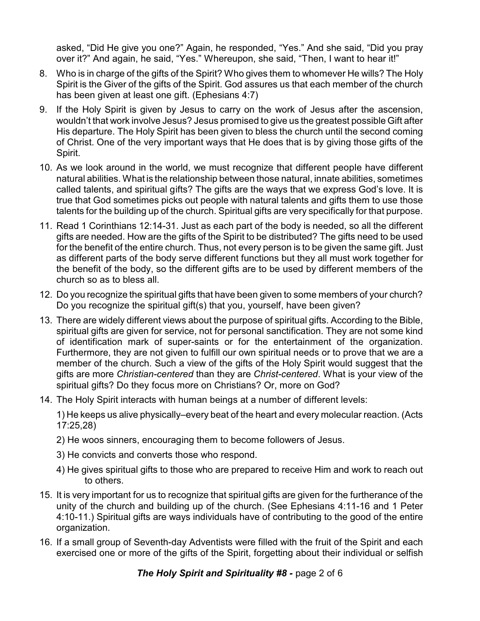asked, "Did He give you one?" Again, he responded, "Yes." And she said, "Did you pray over it?" And again, he said, "Yes." Whereupon, she said, "Then, I want to hear it!"

- 8. Who is in charge of the gifts of the Spirit? Who gives them to whomever He wills? The Holy Spirit is the Giver of the gifts of the Spirit. God assures us that each member of the church has been given at least one gift. (Ephesians 4:7)
- 9. If the Holy Spirit is given by Jesus to carry on the work of Jesus after the ascension, wouldn't that work involve Jesus? Jesus promised to give us the greatest possible Gift after His departure. The Holy Spirit has been given to bless the church until the second coming of Christ. One of the very important ways that He does that is by giving those gifts of the Spirit.
- 10. As we look around in the world, we must recognize that different people have different natural abilities. What is the relationship between those natural, innate abilities, sometimes called talents, and spiritual gifts? The gifts are the ways that we express God's love. It is true that God sometimes picks out people with natural talents and gifts them to use those talents for the building up of the church. Spiritual gifts are very specifically for that purpose.
- 11. Read 1 Corinthians 12:14-31. Just as each part of the body is needed, so all the different gifts are needed. How are the gifts of the Spirit to be distributed? The gifts need to be used for the benefit of the entire church. Thus, not every person is to be given the same gift. Just as different parts of the body serve different functions but they all must work together for the benefit of the body, so the different gifts are to be used by different members of the church so as to bless all.
- 12. Do you recognize the spiritual gifts that have been given to some members of your church? Do you recognize the spiritual gift(s) that you, yourself, have been given?
- 13. There are widely different views about the purpose of spiritual gifts. According to the Bible, spiritual gifts are given for service, not for personal sanctification. They are not some kind of identification mark of super-saints or for the entertainment of the organization. Furthermore, they are not given to fulfill our own spiritual needs or to prove that we are a member of the church. Such a view of the gifts of the Holy Spirit would suggest that the gifts are more *Christian-centered* than they are *Christ-centered*. What is your view of the spiritual gifts? Do they focus more on Christians? Or, more on God?
- 14. The Holy Spirit interacts with human beings at a number of different levels:

1) He keeps us alive physically–every beat of the heart and every molecular reaction. (Acts 17:25,28)

- 2) He woos sinners, encouraging them to become followers of Jesus.
- 3) He convicts and converts those who respond.
- 4) He gives spiritual gifts to those who are prepared to receive Him and work to reach out to others.
- 15. It is very important for us to recognize that spiritual gifts are given for the furtherance of the unity of the church and building up of the church. (See Ephesians 4:11-16 and 1 Peter 4:10-11.) Spiritual gifts are ways individuals have of contributing to the good of the entire organization.
- 16. If a small group of Seventh-day Adventists were filled with the fruit of the Spirit and each exercised one or more of the gifts of the Spirit, forgetting about their individual or selfish

**The Holy Spirit and Spirituality #8 - page 2 of 6**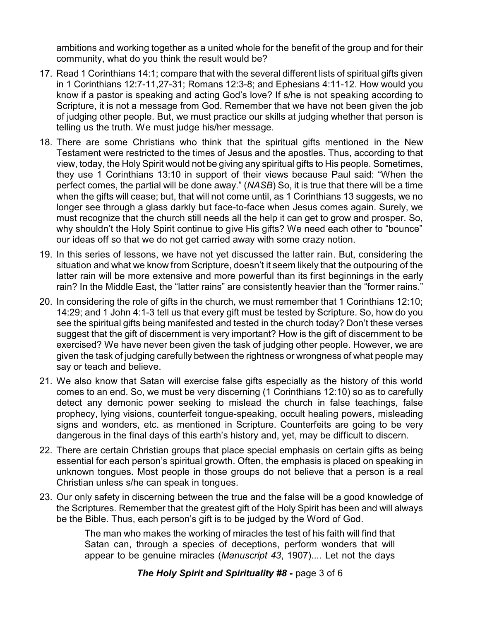ambitions and working together as a united whole for the benefit of the group and for their community, what do you think the result would be?

- 17. Read 1 Corinthians 14:1; compare that with the several different lists of spiritual gifts given in 1 Corinthians 12:7-11,27-31; Romans 12:3-8; and Ephesians 4:11-12. How would you know if a pastor is speaking and acting God's love? If s/he is not speaking according to Scripture, it is not a message from God. Remember that we have not been given the job of judging other people. But, we must practice our skills at judging whether that person is telling us the truth. We must judge his/her message.
- 18. There are some Christians who think that the spiritual gifts mentioned in the New Testament were restricted to the times of Jesus and the apostles. Thus, according to that view, today, the Holy Spirit would not be giving any spiritual gifts to His people. Sometimes, they use 1 Corinthians 13:10 in support of their views because Paul said: "When the perfect comes, the partial will be done away." (*NASB*) So, it is true that there will be a time when the gifts will cease; but, that will not come until, as 1 Corinthians 13 suggests, we no longer see through a glass darkly but face-to-face when Jesus comes again. Surely, we must recognize that the church still needs all the help it can get to grow and prosper. So, why shouldn't the Holy Spirit continue to give His gifts? We need each other to "bounce" our ideas off so that we do not get carried away with some crazy notion.
- 19. In this series of lessons, we have not yet discussed the latter rain. But, considering the situation and what we know from Scripture, doesn't it seem likely that the outpouring of the latter rain will be more extensive and more powerful than its first beginnings in the early rain? In the Middle East, the "latter rains" are consistently heavier than the "former rains."
- 20. In considering the role of gifts in the church, we must remember that 1 Corinthians 12:10; 14:29; and 1 John 4:1-3 tell us that every gift must be tested by Scripture. So, how do you see the spiritual gifts being manifested and tested in the church today? Don't these verses suggest that the gift of discernment is very important? How is the gift of discernment to be exercised? We have never been given the task of judging other people. However, we are given the task of judging carefully between the rightness or wrongness of what people may say or teach and believe.
- 21. We also know that Satan will exercise false gifts especially as the history of this world comes to an end. So, we must be very discerning (1 Corinthians 12:10) so as to carefully detect any demonic power seeking to mislead the church in false teachings, false prophecy, lying visions, counterfeit tongue-speaking, occult healing powers, misleading signs and wonders, etc. as mentioned in Scripture. Counterfeits are going to be very dangerous in the final days of this earth's history and, yet, may be difficult to discern.
- 22. There are certain Christian groups that place special emphasis on certain gifts as being essential for each person's spiritual growth. Often, the emphasis is placed on speaking in unknown tongues. Most people in those groups do not believe that a person is a real Christian unless s/he can speak in tongues.
- 23. Our only safety in discerning between the true and the false will be a good knowledge of the Scriptures. Remember that the greatest gift of the Holy Spirit has been and will always be the Bible. Thus, each person's gift is to be judged by the Word of God.

The man who makes the working of miracles the test of his faith will find that Satan can, through a species of deceptions, perform wonders that will appear to be genuine miracles (*Manuscript 43*, 1907).... Let not the days

*The Holy Spirit and Spirituality #8 -* page 3 of 6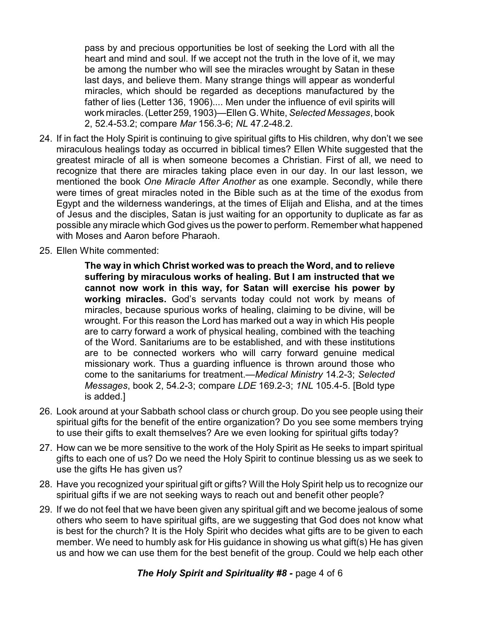pass by and precious opportunities be lost of seeking the Lord with all the heart and mind and soul. If we accept not the truth in the love of it, we may be among the number who will see the miracles wrought by Satan in these last days, and believe them. Many strange things will appear as wonderful miracles, which should be regarded as deceptions manufactured by the father of lies (Letter 136, 1906).... Men under the influence of evil spirits will work miracles. (Letter 259, 1903)—Ellen G. White, *Selected Messages*, book 2, 52.4-53.2; compare *Mar* 156.3-6; *NL* 47.2-48.2.

- 24. If in fact the Holy Spirit is continuing to give spiritual gifts to His children, why don't we see miraculous healings today as occurred in biblical times? Ellen White suggested that the greatest miracle of all is when someone becomes a Christian. First of all, we need to recognize that there are miracles taking place even in our day. In our last lesson, we mentioned the book *One Miracle After Another* as one example. Secondly, while there were times of great miracles noted in the Bible such as at the time of the exodus from Egypt and the wilderness wanderings, at the times of Elijah and Elisha, and at the times of Jesus and the disciples, Satan is just waiting for an opportunity to duplicate as far as possible any miracle which God gives us the power to perform. Remember what happened with Moses and Aaron before Pharaoh.
- 25. Ellen White commented:

**The way in which Christ worked was to preach the Word, and to relieve suffering by miraculous works of healing. But I am instructed that we cannot now work in this way, for Satan will exercise his power by working miracles.** God's servants today could not work by means of miracles, because spurious works of healing, claiming to be divine, will be wrought. For this reason the Lord has marked out a way in which His people are to carry forward a work of physical healing, combined with the teaching of the Word. Sanitariums are to be established, and with these institutions are to be connected workers who will carry forward genuine medical missionary work. Thus a guarding influence is thrown around those who come to the sanitariums for treatment.—*Medical Ministry* 14.2-3; *Selected Messages*, book 2, 54.2-3; compare *LDE* 169.2-3; *1NL* 105.4-5. [Bold type is added.]

- 26. Look around at your Sabbath school class or church group. Do you see people using their spiritual gifts for the benefit of the entire organization? Do you see some members trying to use their gifts to exalt themselves? Are we even looking for spiritual gifts today?
- 27. How can we be more sensitive to the work of the Holy Spirit as He seeks to impart spiritual gifts to each one of us? Do we need the Holy Spirit to continue blessing us as we seek to use the gifts He has given us?
- 28. Have you recognized your spiritual gift or gifts? Will the Holy Spirit help us to recognize our spiritual gifts if we are not seeking ways to reach out and benefit other people?
- 29. If we do not feel that we have been given any spiritual gift and we become jealous of some others who seem to have spiritual gifts, are we suggesting that God does not know what is best for the church? It is the Holy Spirit who decides what gifts are to be given to each member. We need to humbly ask for His guidance in showing us what gift(s) He has given us and how we can use them for the best benefit of the group. Could we help each other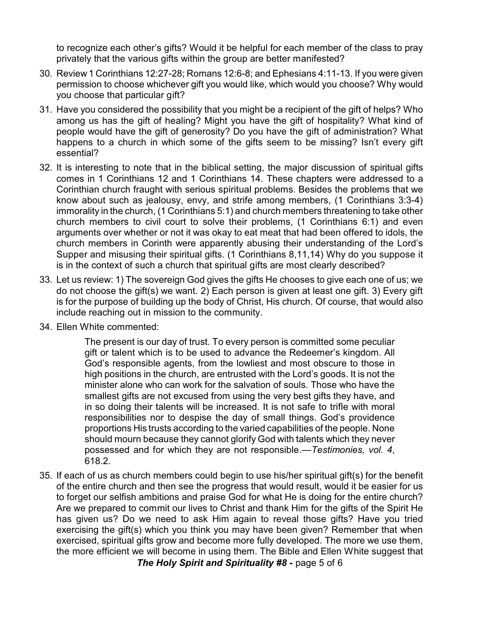to recognize each other's gifts? Would it be helpful for each member of the class to pray privately that the various gifts within the group are better manifested?

- 30. Review 1 Corinthians 12:27-28; Romans 12:6-8; and Ephesians 4:11-13. If you were given permission to choose whichever gift you would like, which would you choose? Why would you choose that particular gift?
- 31. Have you considered the possibility that you might be a recipient of the gift of helps? Who among us has the gift of healing? Might you have the gift of hospitality? What kind of people would have the gift of generosity? Do you have the gift of administration? What happens to a church in which some of the gifts seem to be missing? Isn't every gift essential?
- 32. It is interesting to note that in the biblical setting, the major discussion of spiritual gifts comes in 1 Corinthians 12 and 1 Corinthians 14. These chapters were addressed to a Corinthian church fraught with serious spiritual problems. Besides the problems that we know about such as jealousy, envy, and strife among members, (1 Corinthians 3:3-4) immorality in the church, (1 Corinthians 5:1) and church members threatening to take other church members to civil court to solve their problems, (1 Corinthians 6:1) and even arguments over whether or not it was okay to eat meat that had been offered to idols, the church members in Corinth were apparently abusing their understanding of the Lord's Supper and misusing their spiritual gifts. (1 Corinthians 8,11,14) Why do you suppose it is in the context of such a church that spiritual gifts are most clearly described?
- 33. Let us review: 1) The sovereign God gives the gifts He chooses to give each one of us; we do not choose the gift(s) we want. 2) Each person is given at least one gift. 3) Every gift is for the purpose of building up the body of Christ, His church. Of course, that would also include reaching out in mission to the community.
- 34. Ellen White commented:

The present is our day of trust. To every person is committed some peculiar gift or talent which is to be used to advance the Redeemer's kingdom. All God's responsible agents, from the lowliest and most obscure to those in high positions in the church, are entrusted with the Lord's goods. It is not the minister alone who can work for the salvation of souls. Those who have the smallest gifts are not excused from using the very best gifts they have, and in so doing their talents will be increased. It is not safe to trifle with moral responsibilities nor to despise the day of small things. God's providence proportions His trusts according to the varied capabilities of the people. None should mourn because they cannot glorify God with talents which they never possessed and for which they are not responsible.—*Testimonies, vol. 4*, 618.2.

35. If each of us as church members could begin to use his/her spiritual gift(s) for the benefit of the entire church and then see the progress that would result, would it be easier for us to forget our selfish ambitions and praise God for what He is doing for the entire church? Are we prepared to commit our lives to Christ and thank Him for the gifts of the Spirit He has given us? Do we need to ask Him again to reveal those gifts? Have you tried exercising the gift(s) which you think you may have been given? Remember that when exercised, spiritual gifts grow and become more fully developed. The more we use them, the more efficient we will become in using them. The Bible and Ellen White suggest that

*The Holy Spirit and Spirituality #8 -* page 5 of 6